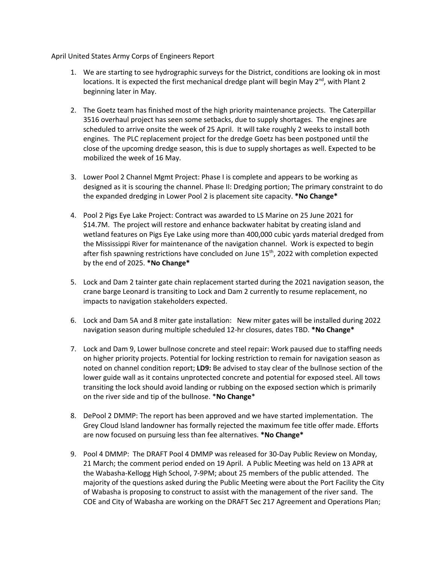April United States Army Corps of Engineers Report

- 1. We are starting to see hydrographic surveys for the District, conditions are looking ok in most locations. It is expected the first mechanical dredge plant will begin May  $2^{nd}$ , with Plant 2 beginning later in May.
- 2. The Goetz team has finished most of the high priority maintenance projects. The Caterpillar 3516 overhaul project has seen some setbacks, due to supply shortages. The engines are scheduled to arrive onsite the week of 25 April. It will take roughly 2 weeks to install both engines. The PLC replacement project for the dredge Goetz has been postponed until the close of the upcoming dredge season, this is due to supply shortages as well. Expected to be mobilized the week of 16 May.
- 3. Lower Pool 2 Channel Mgmt Project: Phase I is complete and appears to be working as designed as it is scouring the channel. Phase II: Dredging portion; The primary constraint to do the expanded dredging in Lower Pool 2 is placement site capacity. **\*No Change\***
- 4. Pool 2 Pigs Eye Lake Project: Contract was awarded to LS Marine on 25 June 2021 for \$14.7M. The project will restore and enhance backwater habitat by creating island and wetland features on Pigs Eye Lake using more than 400,000 cubic yards material dredged from the Mississippi River for maintenance of the navigation channel. Work is expected to begin after fish spawning restrictions have concluded on June 15<sup>th</sup>, 2022 with completion expected by the end of 2025. **\*No Change\***
- 5. Lock and Dam 2 tainter gate chain replacement started during the 2021 navigation season, the crane barge Leonard is transiting to Lock and Dam 2 currently to resume replacement, no impacts to navigation stakeholders expected.
- 6. Lock and Dam 5A and 8 miter gate installation: New miter gates will be installed during 2022 navigation season during multiple scheduled 12-hr closures, dates TBD. **\*No Change\***
- 7. Lock and Dam 9, Lower bullnose concrete and steel repair: Work paused due to staffing needs on higher priority projects. Potential for locking restriction to remain for navigation season as noted on channel condition report; **LD9:** Be advised to stay clear of the bullnose section of the lower guide wall as it contains unprotected concrete and potential for exposed steel. All tows transiting the lock should avoid landing or rubbing on the exposed section which is primarily on the river side and tip of the bullnose. \***No Change**\*
- 8. DePool 2 DMMP: The report has been approved and we have started implementation. The Grey Cloud Island landowner has formally rejected the maximum fee title offer made. Efforts are now focused on pursuing less than fee alternatives. **\*No Change\***
- 9. Pool 4 DMMP: The DRAFT Pool 4 DMMP was released for 30-Day Public Review on Monday, 21 March; the comment period ended on 19 April. A Public Meeting was held on 13 APR at the Wabasha-Kellogg High School, 7-9PM; about 25 members of the public attended. The majority of the questions asked during the Public Meeting were about the Port Facility the City of Wabasha is proposing to construct to assist with the management of the river sand. The COE and City of Wabasha are working on the DRAFT Sec 217 Agreement and Operations Plan;